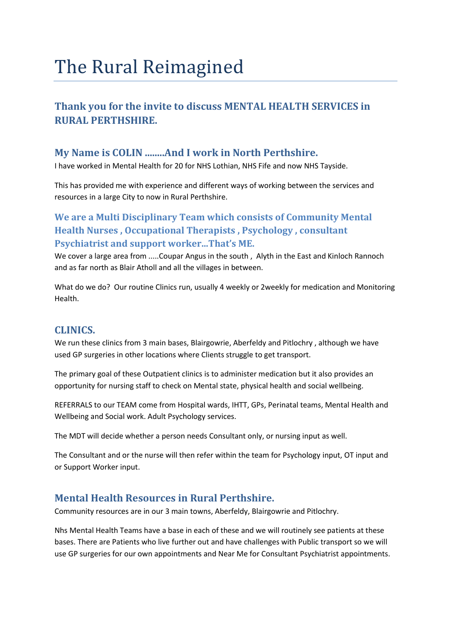# The Rural Reimagined

# **Thank you for the invite to discuss MENTAL HEALTH SERVICES in RURAL PERTHSHIRE.**

# **My Name is COLIN ........And I work in North Perthshire.**

I have worked in Mental Health for 20 for NHS Lothian, NHS Fife and now NHS Tayside.

This has provided me with experience and different ways of working between the services and resources in a large City to now in Rural Perthshire.

# **We are a Multi Disciplinary Team which consists of Community Mental Health Nurses , Occupational Therapists , Psychology , consultant Psychiatrist and support worker...That's ME.**

We cover a large area from .....Coupar Angus in the south, Alyth in the East and Kinloch Rannoch and as far north as Blair Atholl and all the villages in between.

What do we do? Our routine Clinics run, usually 4 weekly or 2weekly for medication and Monitoring Health.

### **CLINICS.**

We run these clinics from 3 main bases, Blairgowrie, Aberfeldy and Pitlochry , although we have used GP surgeries in other locations where Clients struggle to get transport.

The primary goal of these Outpatient clinics is to administer medication but it also provides an opportunity for nursing staff to check on Mental state, physical health and social wellbeing.

REFERRALS to our TEAM come from Hospital wards, IHTT, GPs, Perinatal teams, Mental Health and Wellbeing and Social work. Adult Psychology services.

The MDT will decide whether a person needs Consultant only, or nursing input as well.

The Consultant and or the nurse will then refer within the team for Psychology input, OT input and or Support Worker input.

# **Mental Health Resources in Rural Perthshire.**

Community resources are in our 3 main towns, Aberfeldy, Blairgowrie and Pitlochry.

Nhs Mental Health Teams have a base in each of these and we will routinely see patients at these bases. There are Patients who live further out and have challenges with Public transport so we will use GP surgeries for our own appointments and Near Me for Consultant Psychiatrist appointments.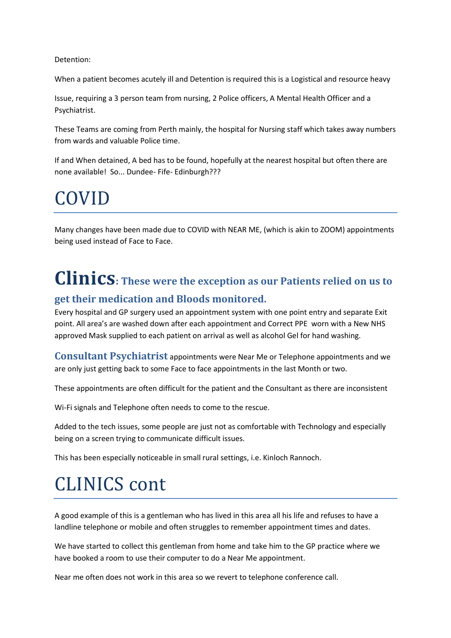Detention:

When a patient becomes acutely ill and Detention is required this is a Logistical and resource heavy

Issue, requiring a 3 person team from nursing, 2 Police officers, A Mental Health Officer and a Psychiatrist.

These Teams are coming from Perth mainly, the hospital for Nursing staff which takes away numbers from wards and valuable Police time.

If and When detained, A bed has to be found, hopefully at the nearest hospital but often there are none available! So... Dundee- Fife- Edinburgh???

# COVID

Many changes have been made due to COVID with NEAR ME, (which is akin to ZOOM) appointments being used instead of Face to Face.

# **Clinics: These were the exception as our Patients relied on us to**

### **get their medication and Bloods monitored.**

Every hospital and GP surgery used an appointment system with one point entry and separate Exit point. All area's are washed down after each appointment and Correct PPE worn with a New NHS approved Mask supplied to each patient on arrival as well as alcohol Gel for hand washing.

**Consultant Psychiatrist** appointments were Near Me or Telephone appointments and we are only just getting back to some Face to face appointments in the last Month or two.

These appointments are often difficult for the patient and the Consultant as there are inconsistent

Wi-Fi signals and Telephone often needs to come to the rescue.

Added to the tech issues, some people are just not as comfortable with Technology and especially being on a screen trying to communicate difficult issues.

This has been especially noticeable in small rural settings, i.e. Kinloch Rannoch.

# CLINICS cont

A good example of this is a gentleman who has lived in this area all his life and refuses to have a landline telephone or mobile and often struggles to remember appointment times and dates.

We have started to collect this gentleman from home and take him to the GP practice where we have booked a room to use their computer to do a Near Me appointment.

Near me often does not work in this area so we revert to telephone conference call.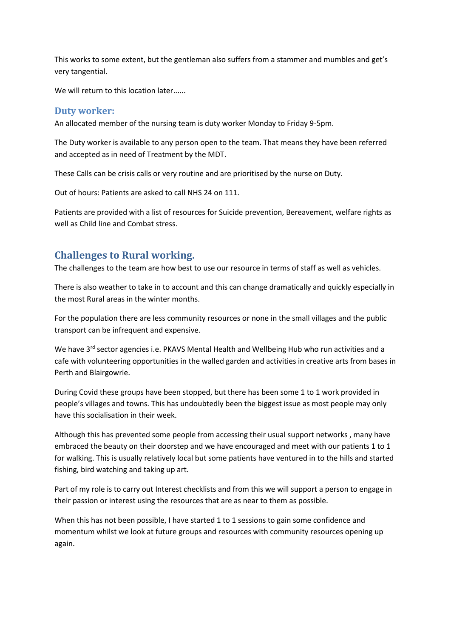This works to some extent, but the gentleman also suffers from a stammer and mumbles and get's very tangential.

We will return to this location later......

#### **Duty worker:**

An allocated member of the nursing team is duty worker Monday to Friday 9-5pm.

The Duty worker is available to any person open to the team. That means they have been referred and accepted as in need of Treatment by the MDT.

These Calls can be crisis calls or very routine and are prioritised by the nurse on Duty.

Out of hours: Patients are asked to call NHS 24 on 111.

Patients are provided with a list of resources for Suicide prevention, Bereavement, welfare rights as well as Child line and Combat stress.

#### **Challenges to Rural working.**

The challenges to the team are how best to use our resource in terms of staff as well as vehicles.

There is also weather to take in to account and this can change dramatically and quickly especially in the most Rural areas in the winter months.

For the population there are less community resources or none in the small villages and the public transport can be infrequent and expensive.

We have 3<sup>rd</sup> sector agencies i.e. PKAVS Mental Health and Wellbeing Hub who run activities and a cafe with volunteering opportunities in the walled garden and activities in creative arts from bases in Perth and Blairgowrie.

During Covid these groups have been stopped, but there has been some 1 to 1 work provided in people's villages and towns. This has undoubtedly been the biggest issue as most people may only have this socialisation in their week.

Although this has prevented some people from accessing their usual support networks , many have embraced the beauty on their doorstep and we have encouraged and meet with our patients 1 to 1 for walking. This is usually relatively local but some patients have ventured in to the hills and started fishing, bird watching and taking up art.

Part of my role is to carry out Interest checklists and from this we will support a person to engage in their passion or interest using the resources that are as near to them as possible.

When this has not been possible, I have started 1 to 1 sessions to gain some confidence and momentum whilst we look at future groups and resources with community resources opening up again.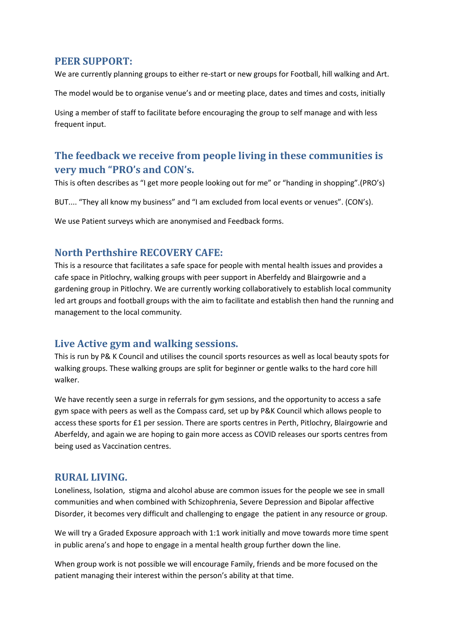#### **PEER SUPPORT:**

We are currently planning groups to either re-start or new groups for Football, hill walking and Art.

The model would be to organise venue's and or meeting place, dates and times and costs, initially

Using a member of staff to facilitate before encouraging the group to self manage and with less frequent input.

# **The feedback we receive from people living in these communities is very much "PRO's and CON's.**

This is often describes as "I get more people looking out for me" or "handing in shopping".(PRO's)

BUT.... "They all know my business" and "I am excluded from local events or venues". (CON's).

We use Patient surveys which are anonymised and Feedback forms.

### **North Perthshire RECOVERY CAFE:**

This is a resource that facilitates a safe space for people with mental health issues and provides a cafe space in Pitlochry, walking groups with peer support in Aberfeldy and Blairgowrie and a gardening group in Pitlochry. We are currently working collaboratively to establish local community led art groups and football groups with the aim to facilitate and establish then hand the running and management to the local community.

### **Live Active gym and walking sessions.**

This is run by P& K Council and utilises the council sports resources as well as local beauty spots for walking groups. These walking groups are split for beginner or gentle walks to the hard core hill walker.

We have recently seen a surge in referrals for gym sessions, and the opportunity to access a safe gym space with peers as well as the Compass card, set up by P&K Council which allows people to access these sports for £1 per session. There are sports centres in Perth, Pitlochry, Blairgowrie and Aberfeldy, and again we are hoping to gain more access as COVID releases our sports centres from being used as Vaccination centres.

#### **RURAL LIVING.**

Loneliness, Isolation, stigma and alcohol abuse are common issues for the people we see in small communities and when combined with Schizophrenia, Severe Depression and Bipolar affective Disorder, it becomes very difficult and challenging to engage the patient in any resource or group.

We will try a Graded Exposure approach with 1:1 work initially and move towards more time spent in public arena's and hope to engage in a mental health group further down the line.

When group work is not possible we will encourage Family, friends and be more focused on the patient managing their interest within the person's ability at that time.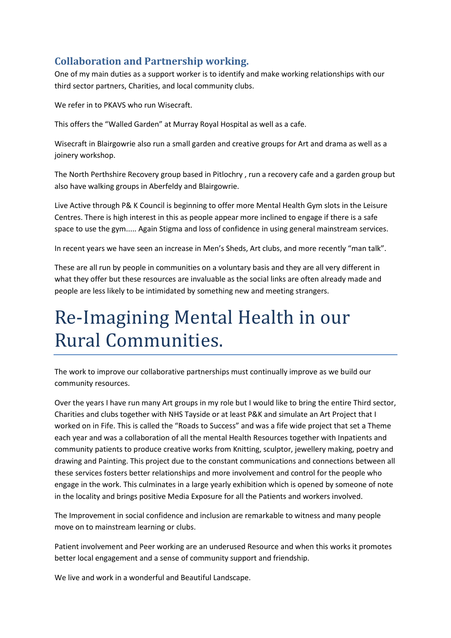# **Collaboration and Partnership working.**

One of my main duties as a support worker is to identify and make working relationships with our third sector partners, Charities, and local community clubs.

We refer in to PKAVS who run Wisecraft.

This offers the "Walled Garden" at Murray Royal Hospital as well as a cafe.

Wisecraft in Blairgowrie also run a small garden and creative groups for Art and drama as well as a joinery workshop.

The North Perthshire Recovery group based in Pitlochry , run a recovery cafe and a garden group but also have walking groups in Aberfeldy and Blairgowrie.

Live Active through P& K Council is beginning to offer more Mental Health Gym slots in the Leisure Centres. There is high interest in this as people appear more inclined to engage if there is a safe space to use the gym..... Again Stigma and loss of confidence in using general mainstream services.

In recent years we have seen an increase in Men's Sheds, Art clubs, and more recently "man talk".

These are all run by people in communities on a voluntary basis and they are all very different in what they offer but these resources are invaluable as the social links are often already made and people are less likely to be intimidated by something new and meeting strangers.

# Re-Imagining Mental Health in our Rural Communities.

The work to improve our collaborative partnerships must continually improve as we build our community resources.

Over the years I have run many Art groups in my role but I would like to bring the entire Third sector, Charities and clubs together with NHS Tayside or at least P&K and simulate an Art Project that I worked on in Fife. This is called the "Roads to Success" and was a fife wide project that set a Theme each year and was a collaboration of all the mental Health Resources together with Inpatients and community patients to produce creative works from Knitting, sculptor, jewellery making, poetry and drawing and Painting. This project due to the constant communications and connections between all these services fosters better relationships and more involvement and control for the people who engage in the work. This culminates in a large yearly exhibition which is opened by someone of note in the locality and brings positive Media Exposure for all the Patients and workers involved.

The Improvement in social confidence and inclusion are remarkable to witness and many people move on to mainstream learning or clubs.

Patient involvement and Peer working are an underused Resource and when this works it promotes better local engagement and a sense of community support and friendship.

We live and work in a wonderful and Beautiful Landscape.